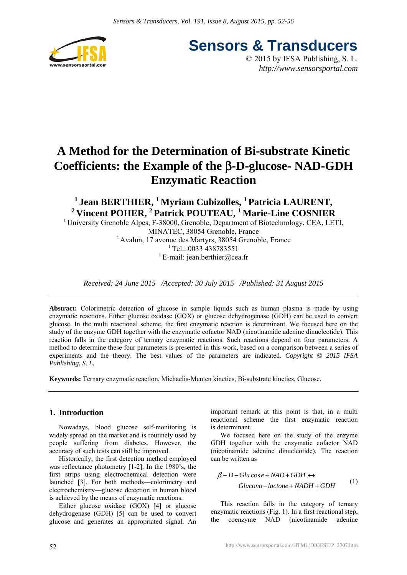

**Sensors & Transducers** © 2015 by IFSA Publishing, S. L.

*http://www.sensorsportal.com*

# **A Method for the Determination of Bi-substrate Kinetic Coefficients: the Example of the** β**-D-glucose- NAD-GDH Enzymatic Reaction**

<sup>1</sup> Jean BERTHIER, <sup>1</sup> Myriam Cubizolles, <sup>1</sup> Patricia LAURENT, <sup>2</sup> Vincent POHER, <sup>2</sup> Patrick POUTEAU, <sup>1</sup> Marie-Line COSNIER

<sup>1</sup> University Grenoble Alpes, F-38000, Grenoble, Department of Biotechnology, CEA, LETI,

MINATEC, 38054 Grenoble, France 2 Avalun, 17 avenue des Martyrs, 38054 Grenoble, France  $1$  Tel.: 0033 438783551 <sup>1</sup> E-mail: jean.berthier@cea.fr

*Received: 24 June 2015 /Accepted: 30 July 2015 /Published: 31 August 2015*

**Abstract:** Colorimetric detection of glucose in sample liquids such as human plasma is made by using enzymatic reactions. Either glucose oxidase (GOX) or glucose dehydrogenase (GDH) can be used to convert glucose. In the multi reactional scheme, the first enzymatic reaction is determinant. We focused here on the study of the enzyme GDH together with the enzymatic cofactor NAD (nicotinamide adenine dinucleotide). This reaction falls in the category of ternary enzymatic reactions. Such reactions depend on four parameters. A method to determine these four parameters is presented in this work, based on a comparison between a series of experiments and the theory. The best values of the parameters are indicated. *Copyright © 2015 IFSA Publishing, S. L.*

**Keywords:** Ternary enzymatic reaction, Michaelis-Menten kinetics, Bi-substrate kinetics, Glucose.

# **1. Introduction**

Nowadays, blood glucose self-monitoring is widely spread on the market and is routinely used by people suffering from diabetes. However, the accuracy of such tests can still be improved.

Historically, the first detection method employed was reflectance photometry [1-2]. In the 1980's, the first strips using electrochemical detection were launched [3]. For both methods—colorimetry and electrochemistry—glucose detection in human blood is achieved by the means of enzymatic reactions.

Either glucose oxidase (GOX) [4] or glucose dehydrogenase (GDH) [5] can be used to convert glucose and generates an appropriated signal. An

important remark at this point is that, in a multi reactional scheme the first enzymatic reaction is determinant.

We focused here on the study of the enzyme GDH together with the enzymatic cofactor NAD (nicotinamide adenine dinucleotide). The reaction can be written as

$$
\beta - D - Glu \cos e + NAD + GDH \leftrightarrow Glu \cos e + NADH + GDH
$$
 (1)

This reaction falls in the category of ternary enzymatic reactions (Fig. 1). In a first reactional step, the coenzyme NAD (nicotinamide adenine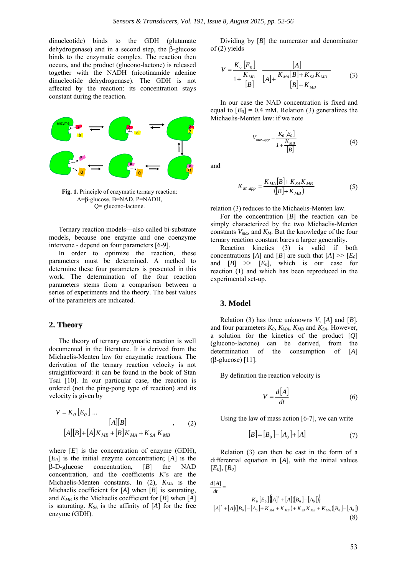dinucleotide) binds to the GDH (glutamate dehydrogenase) and in a second step, the β-glucose binds to the enzymatic complex. The reaction then occurs, and the product (glucono-lactone) is released together with the NADH (nicotinamide adenine dinucleotide dehydrogenase). The GDH is not affected by the reaction: its concentration stays constant during the reaction.



**Fig. 1.** Principle of enzymatic ternary reaction: A=β-glucose, B=NAD, P=NADH, Q= glucono-lactone.

Ternary reaction models—also called bi-substrate models, because one enzyme and one coenzyme intervene - depend on four parameters [6-9].

In order to optimize the reaction, these parameters must be determined. A method to determine these four parameters is presented in this work. The determination of the four reaction parameters stems from a comparison between a series of experiments and the theory. The best values of the parameters are indicated.

## **2. Theory**

The theory of ternary enzymatic reaction is well documented in the literature. It is derived from the Michaelis-Menten law for enzymatic reactions. The derivation of the ternary reaction velocity is not straightforward: it can be found in the book of Stan Tsai [10]. In our particular case, the reaction is ordered (not the ping-pong type of reaction) and its velocity is given by

$$
V = K_0 [E_0] ...
$$
  
\n
$$
[A][B] + [A]K_{MB} + [B]K_{MA} + K_{SA}K_{MB}
$$
 (2)

where  $[E]$  is the concentration of enzyme  $(GDH)$ , [*E0*] is the initial enzyme concentration; [*A*] is the β-D-glucose concentration, [*B*] the NAD concentration, and the coefficients *K*'s are the Michaelis-Menten constants. In  $(2)$ ,  $K_{MA}$  is the Michaelis coefficient for [*A*] when [*B*] is saturating, and  $K_{MB}$  is the Michaelis coefficient for [*B*] when [*A*] is saturating.  $K_{SA}$  is the affinity of  $[A]$  for the free enzyme (GDH).

Dividing by [*B*] the numerator and denominator of (2) yields

$$
V = \frac{K_0 [E_0]}{1 + \frac{K_{MB}}{[B]}} \frac{[A]}{[A] + \frac{K_{MA} [B] + K_{SA} K_{MB}}{[B] + K_{MB}}}
$$
(3)

In our case the NAD concentration is fixed and equal to  $[B_0] = 0.4$  mM. Relation (3) generalizes the Michaelis-Menten law: if we note

$$
V_{\max,app} = \frac{K_0 \left[ E_0 \right]}{I + \frac{K_{MB}}{\left[ B \right]}}
$$
(4)

and

$$
K_{M,app} = \frac{K_{MA}[B] + K_{SA}K_{MB}}{([B] + K_{MB})}
$$
(5)

relation (3) reduces to the Michaelis-Menten law.

For the concentration [*B*] the reaction can be simply characterized by the two Michaelis-Menten constants *Vmax* and *KM*. But the knowledge of the four ternary reaction constant bares a larger generality.

Reaction kinetics (3) is valid if both concentrations [*A*] and [*B*] are such that  $[A] \gg [E_0]$ and  $[B] \gg [E_0]$ , which is our case for reaction (1) and which has been reproduced in the experimental set-up.

### **3. Model**

Relation (3) has three unknowns *V*, [*A*] and [*B*], and four parameters  $K_0$ ,  $K_{MA}$ ,  $K_{MB}$  and  $K_{SA}$ . However, a solution for the kinetics of the product [*Q*] (glucono-lactone) can be derived, from the determination of the consumption of [*A*] (β-glucose) [11].

By definition the reaction velocity is

$$
V = \frac{d[A]}{dt} \tag{6}
$$

Using the law of mass action [6-7], we can write

$$
[B] = [B_0] - [A_0] + [A] \tag{7}
$$

Relation (3) can then be cast in the form of a differential equation in [*A*], with the initial values [*E0*], [*B0*]

$$
\frac{d[A]}{dt} = K_0 [E_0] \{[A]^2 + [A]([B_0] - [A_0])\}
$$
  
\n
$$
[A]^2 + [A]([B_0] - [A_0] + K_{MA} + K_{MB}) + K_{SA} K_{MB} + K_{MA} ([B_0] - [A_0])
$$
\n(8)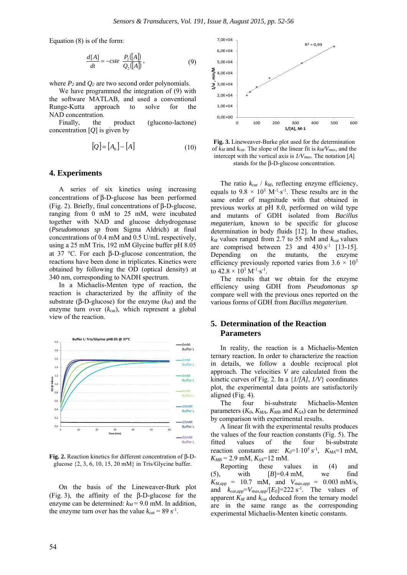Equation (8) is of the form:

$$
\frac{d[A]}{dt} = -cste \frac{P_2([A])}{Q_2([A])},\tag{9}
$$

where  $P_2$  and  $Q_2$  are two second order polynomials.

We have programmed the integration of (9) with the software MATLAB, and used a conventional Runge-Kutta approach to solve for the NAD concentration.

Finally, the product (glucono-lactone) concentration [*Q*] is given by

$$
[Q] = [A_0] - [A] \tag{10}
$$

#### **4. Experiments**

A series of six kinetics using increasing concentrations of β-D-glucose has been performed (Fig. 2). Briefly, final concentrations of β-D-glucose, ranging from 0 mM to 25 mM, were incubated together with NAD and glucose dehydrogenase (*Pseudomonas sp* from Sigma Aldrich) at final concentrations of 0.4 mM and 0.5 U/mL respectively, using a 25 mM Tris, 192 mM Glycine buffer pH 8.05 at 37 °C. For each β-D-glucose concentration, the reactions have been done in triplicates. Kinetics were obtained by following the OD (optical density) at 340 nm, corresponding to NADH spectrum.

In a Michaelis-Menten type of reaction, the reaction is characterized by the affinity of the substrate ( $\beta$ -D-glucose) for the enzyme ( $k_M$ ) and the enzyme turn over (*kcat*), which represent a global view of the reaction.



**Fig. 2.** Reaction kinetics for different concentration of β-Dglucose {2, 3, 6, 10, 15, 20 mM} in Tris/Glycine buffer.

On the basis of the Lineweaver-Burk plot (Fig. 3), the affinity of the β-D-glucose for the enzyme can be determined:  $k_M$  = 9.0 mM. In addition, the enzyme turn over has the value  $k_{cat} = 89 \text{ s}^{-1}$ .



**Fig. 3.** Lineweaver-Burke plot used for the determination of *kM* and *kcat*. The slope of the linear fit is *kM/Vmax*, and the intercept with the vertical axis is *1/Vmax*. The notation [*A*] stands for the β-D-glucose concentration.

The ratio  $k_{cat}$  /  $k_M$ , reflecting enzyme efficiency, equals to  $9.8 \times 10^3$  M<sup>-1</sup>⋅s<sup>-1</sup>. These results are in the same order of magnitude with that obtained in previous works at pH 8.0, performed on wild type and mutants of GDH isolated from *Bacillus megaterium,* known to be specific for glucose determination in body fluids [12]. In these studies,  $k_M$  values ranged from 2.7 to 55 mM and  $k_{cat}$  values are comprised between 23 and  $430 \text{ s}^{-1}$  [13-15]. Depending on the mutants, the enzyme efficiency previously reported varies from  $3.6 \times 10^3$ to  $42.8 \times 10^3$  M<sup>-1</sup>·s<sup>-1</sup>.

The results that we obtain for the enzyme efficiency using GDH from *Pseudomonas sp* compare well with the previous ones reported on the various forms of GDH from *Bacillus megaterium*.

## **5. Determination of the Reaction Parameters**

In reality, the reaction is a Michaelis-Menten ternary reaction. In order to characterize the reaction in details, we follow a double reciprocal plot approach. The velocities *V* are calculated from the kinetic curves of Fig. 2. In a {*1/[A], 1/V*} coordinates plot, the experimental data points are satisfactorily aligned (Fig. 4).

The four bi-substrate Michaelis-Menten parameters  $(K_0, K_{MA}, K_{MB}$  and  $K_{SA}$ ) can be determined by comparison with experimental results.

A linear fit with the experimental results produces the values of the four reaction constants (Fig. 5). The fitted values of the four bi-substrate reaction constants are:  $K_0=1.10^5 \text{ s}^{-1}$ ,  $K_{MA}$ =1 mM,  $K_{MB}$  = 2.9 mM,  $K_{SA}$ =12 mM.

Reporting these values in (4) and (5), with  $[B]=0.4$  mM, we find  $K_{M,app}$  = 10.7 mM, and  $V_{max,app}$  = 0.003 mM/s, and  $k_{cat,app} = V_{max,app}/[E_0] = 222 \text{ s}^{-1}$ . The values of apparent  $K_M$  and  $k_{cat}$  deduced from the ternary model are in the same range as the corresponding experimental Michaelis-Menten kinetic constants.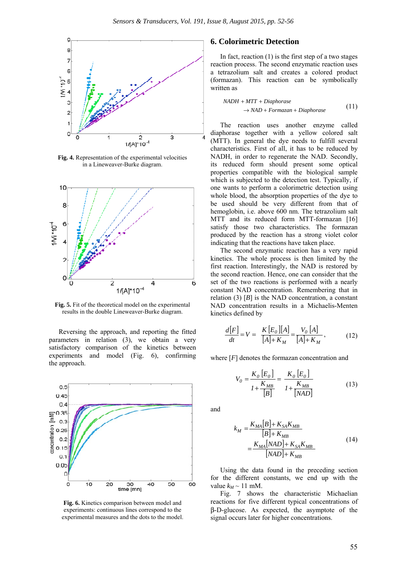

**Fig. 4.** Representation of the experimental velocities in a Lineweaver-Burke diagram.



**Fig. 5.** Fit of the theoretical model on the experimental results in the double Lineweaver-Burke diagram.

Reversing the approach, and reporting the fitted parameters in relation (3), we obtain a very satisfactory comparison of the kinetics between experiments and model (Fig. 6), confirming the approach.



**Fig. 6.** Kinetics comparison between model and experiments: continuous lines correspond to the experimental measures and the dots to the model.

## **6. Colorimetric Detection**

In fact, reaction  $(1)$  is the first step of a two stages reaction process. The second enzymatic reaction uses a tetrazolium salt and creates a colored product (formazan). This reaction can be symbolically written as

$$
NADH + MTT + Diaphorase
$$
  
\n
$$
\rightarrow NAD + Formazan + Diaphorase
$$
\n(11)

The reaction uses another enzyme called diaphorase together with a yellow colored salt (MTT). In general the dye needs to fulfill several characteristics. First of all, it has to be reduced by NADH, in order to regenerate the NAD. Secondly, its reduced form should present some optical properties compatible with the biological sample which is subjected to the detection test. Typically, if one wants to perform a colorimetric detection using whole blood, the absorption properties of the dye to be used should be very different from that of hemoglobin, i.e. above 600 nm. The tetrazolium salt MTT and its reduced form MTT-formazan [16] satisfy those two characteristics. The formazan produced by the reaction has a strong violet color indicating that the reactions have taken place.

The second enzymatic reaction has a very rapid kinetics. The whole process is then limited by the first reaction. Interestingly, the NAD is restored by the second reaction. Hence, one can consider that the set of the two reactions is performed with a nearly constant NAD concentration. Remembering that in relation (3)  $[B]$  is the NAD concentration, a constant NAD concentration results in a Michaelis-Menten kinetics defined by

$$
\frac{d[F]}{dt} = V = \frac{K[E_0][A]}{[A]+K_M} = \frac{V_0[A]}{[A]+K_M},
$$
(12)

where [*F*] denotes the formazan concentration and

$$
V_0 = \frac{K_0 [E_0]}{I + \frac{K_{MB}}{[B]}} = \frac{K_0 [E_0]}{I + \frac{K_{MB}}{[NAD]}}
$$
(13)

and

$$
k_M = \frac{K_{MA}[B] + K_{SA}K_{MB}}{[B] + K_{MB}}
$$
  
= 
$$
\frac{K_{MA}[NAD] + K_{SA}K_{MB}}{[NAD] + K_{MB}}
$$
 (14)

Using the data found in the preceding section for the different constants, we end up with the value  $k_M \sim 11$  mM.

Fig. 7 shows the characteristic Michaelian reactions for five different typical concentrations of β-D-glucose. As expected, the asymptote of the signal occurs later for higher concentrations.